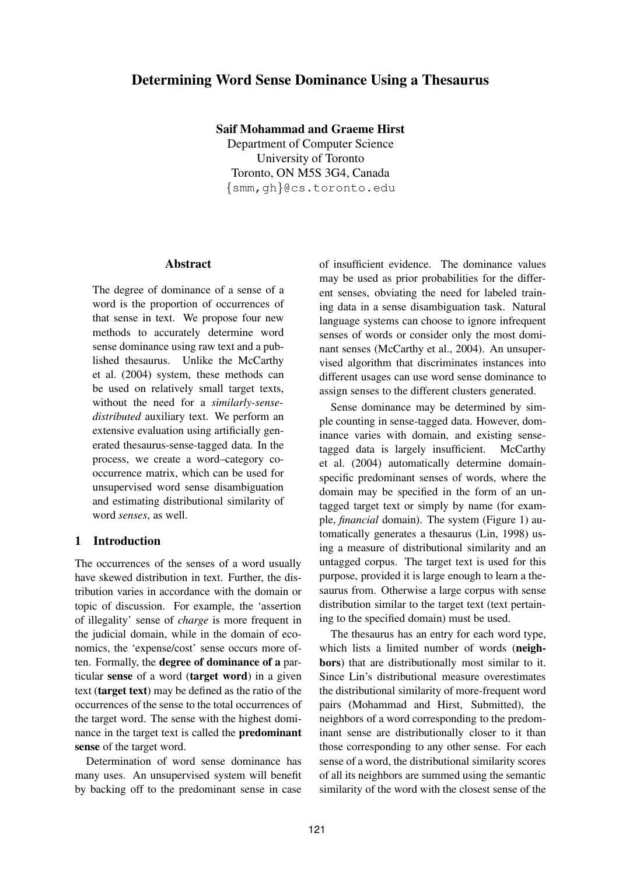# **Determining Word Sense Dominance Using a Thesaurus**

**Saif Mohammad and Graeme Hirst**

Department of Computer Science University of Toronto Toronto, ON M5S 3G4, Canada {smm, gh}@cs.toronto.edu

## **Abstract**

The degree of dominance of a sense of a word is the proportion of occurrences of that sense in text. We propose four new methods to accurately determine word sense dominance using raw text and a published thesaurus. Unlike the McCarthy et al. (2004) system, these methods can be used on relatively small target texts, without the need for a *similarly-sensedistributed* auxiliary text. We perform an extensive evaluation using artificially generated thesaurus-sense-tagged data. In the process, we create a word–category cooccurrence matrix, which can be used for unsupervised word sense disambiguation and estimating distributional similarity of word *senses*, as well.

## **1 Introduction**

The occurrences of the senses of a word usually have skewed distribution in text. Further, the distribution varies in accordance with the domain or topic of discussion. For example, the 'assertion of illegality' sense of *charge* is more frequent in the judicial domain, while in the domain of economics, the 'expense/cost' sense occurs more often. Formally, the **degree of dominance of a** particular **sense** of a word (**target word**) in a given text (**target text**) may be defined as the ratio of the occurrences of the sense to the total occurrences of the target word. The sense with the highest dominance in the target text is called the **predominant sense** of the target word.

Determination of word sense dominance has many uses. An unsupervised system will benefit by backing off to the predominant sense in case of insufficient evidence. The dominance values may be used as prior probabilities for the different senses, obviating the need for labeled training data in a sense disambiguation task. Natural language systems can choose to ignore infrequent senses of words or consider only the most dominant senses (McCarthy et al., 2004). An unsupervised algorithm that discriminates instances into different usages can use word sense dominance to assign senses to the different clusters generated.

Sense dominance may be determined by simple counting in sense-tagged data. However, dominance varies with domain, and existing sensetagged data is largely insufficient. McCarthy et al. (2004) automatically determine domainspecific predominant senses of words, where the domain may be specified in the form of an untagged target text or simply by name (for example, *financial* domain). The system (Figure 1) automatically generates a thesaurus (Lin, 1998) using a measure of distributional similarity and an untagged corpus. The target text is used for this purpose, provided it is large enough to learn a thesaurus from. Otherwise a large corpus with sense distribution similar to the target text (text pertaining to the specified domain) must be used.

The thesaurus has an entry for each word type, which lists a limited number of words (**neighbors**) that are distributionally most similar to it. Since Lin's distributional measure overestimates the distributional similarity of more-frequent word pairs (Mohammad and Hirst, Submitted), the neighbors of a word corresponding to the predominant sense are distributionally closer to it than those corresponding to any other sense. For each sense of a word, the distributional similarity scores of all its neighbors are summed using the semantic similarity of the word with the closest sense of the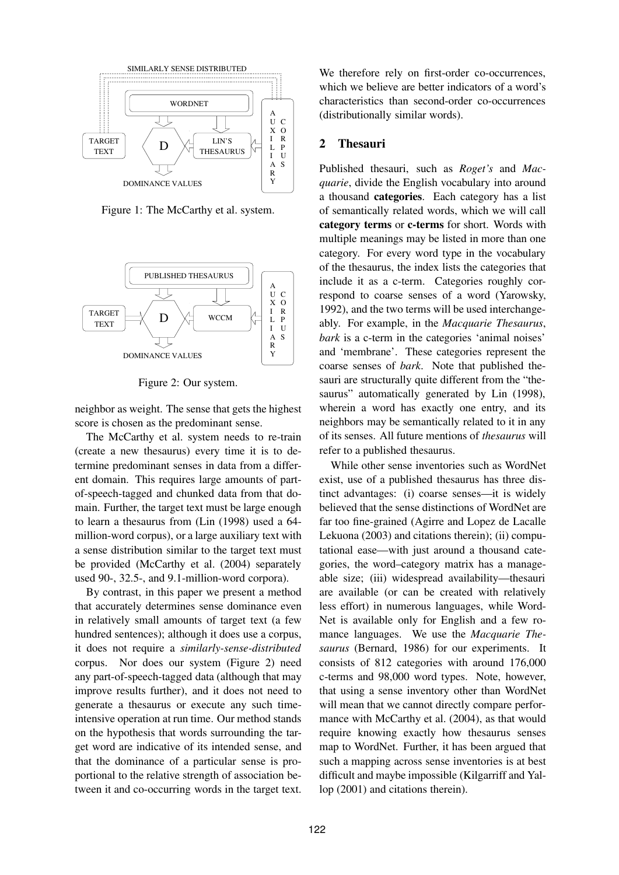

Figure 1: The McCarthy et al. system.



Figure 2: Our system.

neighbor as weight. The sense that gets the highest score is chosen as the predominant sense.

The McCarthy et al. system needs to re-train (create a new thesaurus) every time it is to determine predominant senses in data from a different domain. This requires large amounts of partof-speech-tagged and chunked data from that domain. Further, the target text must be large enough to learn a thesaurus from (Lin (1998) used a 64 million-word corpus), or a large auxiliary text with a sense distribution similar to the target text must be provided (McCarthy et al. (2004) separately used 90-, 32.5-, and 9.1-million-word corpora).

By contrast, in this paper we present a method that accurately determines sense dominance even in relatively small amounts of target text (a few hundred sentences); although it does use a corpus, it does not require a *similarly-sense-distributed* corpus. Nor does our system (Figure 2) need any part-of-speech-tagged data (although that may improve results further), and it does not need to generate a thesaurus or execute any such timeintensive operation at run time. Our method stands on the hypothesis that words surrounding the target word are indicative of its intended sense, and that the dominance of a particular sense is proportional to the relative strength of association between it and co-occurring words in the target text.

We therefore rely on first-order co-occurrences, which we believe are better indicators of a word's characteristics than second-order co-occurrences (distributionally similar words).

## **2 Thesauri**

Published thesauri, such as *Roget's* and *Macquarie*, divide the English vocabulary into around a thousand **categories**. Each category has a list of semantically related words, which we will call **category terms** or **c-terms** for short. Words with multiple meanings may be listed in more than one category. For every word type in the vocabulary of the thesaurus, the index lists the categories that include it as a c-term. Categories roughly correspond to coarse senses of a word (Yarowsky, 1992), and the two terms will be used interchangeably. For example, in the *Macquarie Thesaurus*, *bark* is a c-term in the categories 'animal noises' and 'membrane'. These categories represent the coarse senses of *bark*. Note that published thesauri are structurally quite different from the "thesaurus" automatically generated by Lin (1998), wherein a word has exactly one entry, and its neighbors may be semantically related to it in any of its senses. All future mentions of *thesaurus* will refer to a published thesaurus.

While other sense inventories such as WordNet exist, use of a published thesaurus has three distinct advantages: (i) coarse senses—it is widely believed that the sense distinctions of WordNet are far too fine-grained (Agirre and Lopez de Lacalle Lekuona (2003) and citations therein); (ii) computational ease—with just around a thousand categories, the word–category matrix has a manageable size; (iii) widespread availability—thesauri are available (or can be created with relatively less effort) in numerous languages, while Word-Net is available only for English and a few romance languages. We use the *Macquarie Thesaurus* (Bernard, 1986) for our experiments. It consists of 812 categories with around 176,000 c-terms and 98,000 word types. Note, however, that using a sense inventory other than WordNet will mean that we cannot directly compare performance with McCarthy et al. (2004), as that would require knowing exactly how thesaurus senses map to WordNet. Further, it has been argued that such a mapping across sense inventories is at best difficult and maybe impossible (Kilgarriff and Yallop (2001) and citations therein).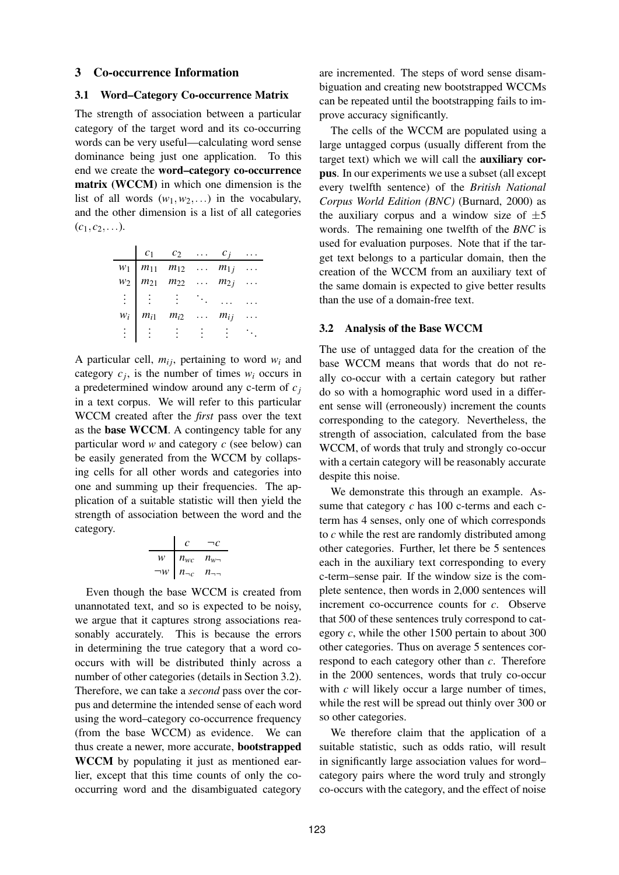## **3 Co-occurrence Information**

## **3.1 Word–Category Co-occurrence Matrix**

The strength of association between a particular category of the target word and its co-occurring words can be very useful—calculating word sense dominance being just one application. To this end we create the **word–category co-occurrence matrix (WCCM)** in which one dimension is the list of all words  $(w_1, w_2, ...)$  in the vocabulary, and the other dimension is a list of all categories  $(c_1, c_2, \ldots).$ 

|          | $c_1$    | $c_2$                                                                                                       | $\cdots$ | $c_i$    |  |
|----------|----------|-------------------------------------------------------------------------------------------------------------|----------|----------|--|
|          |          | $\begin{array}{ccc} w_1 & m_{11} & m_{12} & \dots & m_{1j} \\ m_{21} & m_{22} & \dots & m_{2j} \end{array}$ |          |          |  |
|          |          |                                                                                                             |          |          |  |
| $\pm$ 1  |          |                                                                                                             |          |          |  |
| $W_i$    | $m_{i1}$ | $m_{i2}$                                                                                                    | $\sim$   | $m_{ij}$ |  |
| $\vdots$ |          |                                                                                                             |          |          |  |

A particular cell,  $m_{ij}$ , pertaining to word  $w_i$  and category  $c_j$ , is the number of times  $w_i$  occurs in a predetermined window around any c-term of *c<sup>j</sup>* in a text corpus. We will refer to this particular WCCM created after the *first* pass over the text as the **base WCCM**. A contingency table for any particular word *w* and category *c* (see below) can be easily generated from the WCCM by collapsing cells for all other words and categories into one and summing up their frequencies. The application of a suitable statistic will then yield the strength of association between the word and the category.

$$
\begin{array}{c}\n c \quad \neg c \\
 \hline\n w \quad n_{wc} \quad n_{w} \\
 \neg w \quad n_{\neg c} \quad n_{\neg \neg} \\
\end{array}
$$

Even though the base WCCM is created from unannotated text, and so is expected to be noisy, we argue that it captures strong associations reasonably accurately. This is because the errors in determining the true category that a word cooccurs with will be distributed thinly across a number of other categories (details in Section 3.2). Therefore, we can take a *second* pass over the corpus and determine the intended sense of each word using the word–category co-occurrence frequency (from the base WCCM) as evidence. We can thus create a newer, more accurate, **bootstrapped WCCM** by populating it just as mentioned earlier, except that this time counts of only the cooccurring word and the disambiguated category

are incremented. The steps of word sense disambiguation and creating new bootstrapped WCCMs can be repeated until the bootstrapping fails to improve accuracy significantly.

The cells of the WCCM are populated using a large untagged corpus (usually different from the target text) which we will call the **auxiliary corpus**. In our experiments we use a subset (all except every twelfth sentence) of the *British National Corpus World Edition (BNC)* (Burnard, 2000) as the auxiliary corpus and a window size of  $\pm 5$ words. The remaining one twelfth of the *BNC* is used for evaluation purposes. Note that if the target text belongs to a particular domain, then the creation of the WCCM from an auxiliary text of the same domain is expected to give better results than the use of a domain-free text.

### **3.2 Analysis of the Base WCCM**

The use of untagged data for the creation of the base WCCM means that words that do not really co-occur with a certain category but rather do so with a homographic word used in a different sense will (erroneously) increment the counts corresponding to the category. Nevertheless, the strength of association, calculated from the base WCCM, of words that truly and strongly co-occur with a certain category will be reasonably accurate despite this noise.

We demonstrate this through an example. Assume that category *c* has 100 c-terms and each cterm has 4 senses, only one of which corresponds to *c* while the rest are randomly distributed among other categories. Further, let there be 5 sentences each in the auxiliary text corresponding to every c-term–sense pair. If the window size is the complete sentence, then words in 2,000 sentences will increment co-occurrence counts for *c*. Observe that 500 of these sentences truly correspond to category *c*, while the other 1500 pertain to about 300 other categories. Thus on average 5 sentences correspond to each category other than *c*. Therefore in the 2000 sentences, words that truly co-occur with *c* will likely occur a large number of times, while the rest will be spread out thinly over 300 or so other categories.

We therefore claim that the application of a suitable statistic, such as odds ratio, will result in significantly large association values for word– category pairs where the word truly and strongly co-occurs with the category, and the effect of noise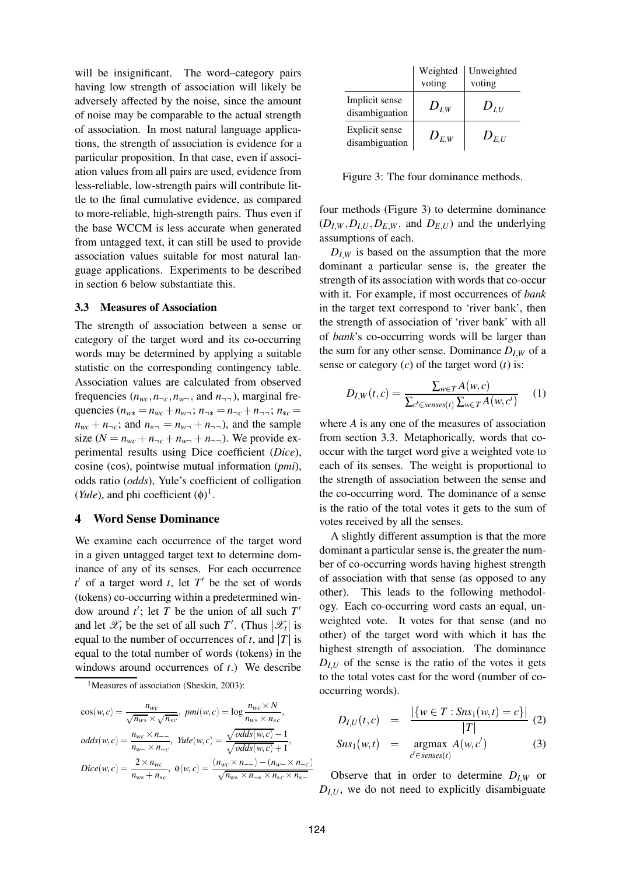will be insignificant. The word–category pairs having low strength of association will likely be adversely affected by the noise, since the amount of noise may be comparable to the actual strength of association. In most natural language applications, the strength of association is evidence for a particular proposition. In that case, even if association values from all pairs are used, evidence from less-reliable, low-strength pairs will contribute little to the final cumulative evidence, as compared to more-reliable, high-strength pairs. Thus even if the base WCCM is less accurate when generated from untagged text, it can still be used to provide association values suitable for most natural language applications. Experiments to be described in section 6 below substantiate this.

## **3.3 Measures of Association**

The strength of association between a sense or category of the target word and its co-occurring words may be determined by applying a suitable statistic on the corresponding contingency table. Association values are calculated from observed frequencies  $(n_{wc}, n_{\neg c}, n_{w\neg}$ , and  $n_{\neg \neg}$ ), marginal frequencies ( $n_{w*} = n_{wc} + n_{w-}; n_{w*} = n_{-c} + n_{-i}; n_{*c} =$  $n_{wc} + n_{\neg c}$ ; and  $n_{\overline{m}} = n_{w\overline{n}} + n_{\overline{n}}$ , and the sample size ( $N = n_{wc} + n_{\neg c} + n_{w} + n_{\neg \neg}$ ). We provide experimental results using Dice coefficient (*Dice*), cosine (cos), pointwise mutual information (*pmi*), odds ratio (*odds*), Yule's coefficient of colligation (*Yule*), and phi coefficient  $(\phi)^1$ .

### **4 Word Sense Dominance**

We examine each occurrence of the target word in a given untagged target text to determine dominance of any of its senses. For each occurrence  $t'$  of a target word  $t$ , let  $T'$  be the set of words (tokens) co-occurring within a predetermined window around  $t'$ ; let *T* be the union of all such  $T'$ and let  $\mathscr{X}_t$  be the set of all such  $T'$ . (Thus  $|\mathscr{X}_t|$  is equal to the number of occurrences of *t*, and  $|T|$  is equal to the total number of words (tokens) in the windows around occurrences of *t*.) We describe

<sup>1</sup>Measures of association (Sheskin, 2003):

$$
\cos(w, c) = \frac{n_{wc}}{\sqrt{n_{w*}} \times \sqrt{n_{*c}}}, \, pmi(w, c) = \log \frac{n_{wc} \times N}{n_{w*} \times n_{*c}},
$$
\n
$$
odds(w, c) = \frac{n_{wc} \times n_{\text{max}}}{n_{w\text{max}} \times n_{\text{max}}}, \, \, \text{Yule}(w, c) = \frac{\sqrt{odds(w, c)} - 1}{\sqrt{odds(w, c)} + 1},
$$
\n
$$
Dice(w, c) = \frac{2 \times n_{wc}}{n_{w*} + n_{*c}}, \, \phi(w, c) = \frac{(n_{wc} \times n_{\text{max}}) - (n_{w\text{max}} \times n_{\text{max}})}{\sqrt{n_{w*} \times n_{\text{max}} \times n_{*c} \times n_{\text{max}}}}
$$

|                                  | Weighted  | Unweighted |
|----------------------------------|-----------|------------|
|                                  | voting    | voting     |
| Implicit sense<br>disambiguation | $D_{I,W}$ | $D_{LU}$   |
| Explicit sense<br>disambiguation | $D_{E,W}$ | $D_{E,U}$  |

Figure 3: The four dominance methods.

four methods (Figure 3) to determine dominance  $(D_{I,W}, D_{I,U}, D_{E,W}, \text{ and } D_{E,U})$  and the underlying assumptions of each.

 $D_{I,W}$  is based on the assumption that the more dominant a particular sense is, the greater the strength of its association with words that co-occur with it. For example, if most occurrences of *bank* in the target text correspond to 'river bank', then the strength of association of 'river bank' with all of *bank*'s co-occurring words will be larger than the sum for any other sense. Dominance  $D_{I,W}$  of a sense or category (*c*) of the target word (*t*) is:

$$
D_{I,W}(t,c) = \frac{\sum_{w \in T} A(w,c)}{\sum_{c' \in senses(t)} \sum_{w \in T} A(w,c')} \tag{1}
$$

where *A* is any one of the measures of association from section 3.3. Metaphorically, words that cooccur with the target word give a weighted vote to each of its senses. The weight is proportional to the strength of association between the sense and the co-occurring word. The dominance of a sense is the ratio of the total votes it gets to the sum of votes received by all the senses.

A slightly different assumption is that the more dominant a particular sense is, the greater the number of co-occurring words having highest strength of association with that sense (as opposed to any other). This leads to the following methodology. Each co-occurring word casts an equal, unweighted vote. It votes for that sense (and no other) of the target word with which it has the highest strength of association. The dominance  $D_{I,U}$  of the sense is the ratio of the votes it gets to the total votes cast for the word (number of cooccurring words).

$$
D_{I,U}(t,c) = \frac{|\{w \in T : Sns_1(w,t) = c\}|}{|T|} (2)
$$

$$
Sns_1(w,t) = \operatorname{argmax}_{c' \in senses(t)} A(w,c')
$$
 (3)

Observe that in order to determine  $D_{I,W}$  or  $D_{I,U}$ , we do not need to explicitly disambiguate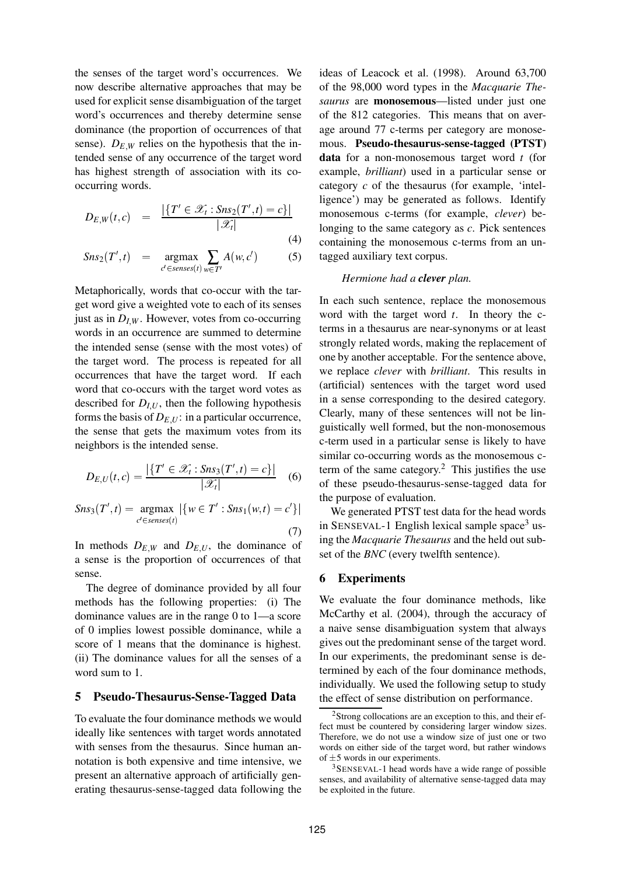the senses of the target word's occurrences. We now describe alternative approaches that may be used for explicit sense disambiguation of the target word's occurrences and thereby determine sense dominance (the proportion of occurrences of that sense).  $D_{E,W}$  relies on the hypothesis that the intended sense of any occurrence of the target word has highest strength of association with its cooccurring words.

$$
D_{E,W}(t,c) = \frac{|\{T' \in \mathscr{X}_t : \text{Sns}_2(T',t) = c\}|}{|\mathscr{X}_t|} \tag{4}
$$

$$
Sns_2(T',t) = \underset{c' \in senses(t)}{\operatorname{argmax}} \sum_{w \in T'} A(w,c') \tag{5}
$$

Metaphorically, words that co-occur with the target word give a weighted vote to each of its senses just as in  $D_{I,W}$ . However, votes from co-occurring words in an occurrence are summed to determine the intended sense (sense with the most votes) of the target word. The process is repeated for all occurrences that have the target word. If each word that co-occurs with the target word votes as described for  $D_{I,U}$ , then the following hypothesis forms the basis of  $D_{E,U}$ : in a particular occurrence, the sense that gets the maximum votes from its neighbors is the intended sense.

$$
D_{E,U}(t,c) = \frac{|\{T' \in \mathcal{X}_t : Sns_3(T',t) = c\}|}{|\mathcal{X}_t|} \quad (6)
$$

 $Sns_3(T', t) = \text{argmax}$  $c' \in$ *senses* $(t)$  $|\{w \in T' : Sns_1(w,t) = c'\}|$ (7)

In methods  $D_{E,W}$  and  $D_{E,U}$ , the dominance of a sense is the proportion of occurrences of that sense.

The degree of dominance provided by all four methods has the following properties: (i) The dominance values are in the range 0 to 1—a score of 0 implies lowest possible dominance, while a score of 1 means that the dominance is highest. (ii) The dominance values for all the senses of a word sum to 1.

#### **5 Pseudo-Thesaurus-Sense-Tagged Data**

To evaluate the four dominance methods we would ideally like sentences with target words annotated with senses from the thesaurus. Since human annotation is both expensive and time intensive, we present an alternative approach of artificially generating thesaurus-sense-tagged data following the ideas of Leacock et al. (1998). Around 63,700 of the 98,000 word types in the *Macquarie Thesaurus* are **monosemous**—listed under just one of the 812 categories. This means that on average around 77 c-terms per category are monosemous. **Pseudo-thesaurus-sense-tagged (PTST) data** for a non-monosemous target word *t* (for example, *brilliant*) used in a particular sense or category *c* of the thesaurus (for example, 'intelligence') may be generated as follows. Identify monosemous c-terms (for example, *clever*) belonging to the same category as *c*. Pick sentences containing the monosemous c-terms from an untagged auxiliary text corpus.

#### *Hermione had a clever plan.*

In each such sentence, replace the monosemous word with the target word *t*. In theory the cterms in a thesaurus are near-synonyms or at least strongly related words, making the replacement of one by another acceptable. For the sentence above, we replace *clever* with *brilliant*. This results in (artificial) sentences with the target word used in a sense corresponding to the desired category. Clearly, many of these sentences will not be linguistically well formed, but the non-monosemous c-term used in a particular sense is likely to have similar co-occurring words as the monosemous cterm of the same category.<sup>2</sup> This justifies the use of these pseudo-thesaurus-sense-tagged data for the purpose of evaluation.

We generated PTST test data for the head words in SENSEVAL-1 English lexical sample space<sup>3</sup> using the *Macquarie Thesaurus* and the held out subset of the *BNC* (every twelfth sentence).

#### **6 Experiments**

We evaluate the four dominance methods, like McCarthy et al. (2004), through the accuracy of a naive sense disambiguation system that always gives out the predominant sense of the target word. In our experiments, the predominant sense is determined by each of the four dominance methods, individually. We used the following setup to study the effect of sense distribution on performance.

 $2$ Strong collocations are an exception to this, and their effect must be countered by considering larger window sizes. Therefore, we do not use a window size of just one or two words on either side of the target word, but rather windows of  $\pm$ 5 words in our experiments.

<sup>3</sup>SENSEVAL-1 head words have a wide range of possible senses, and availability of alternative sense-tagged data may be exploited in the future.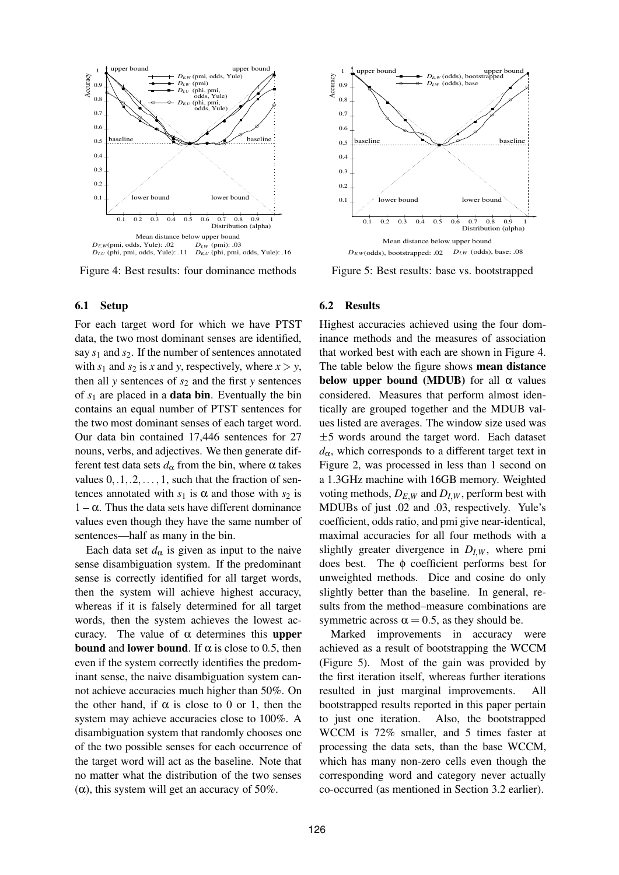

Figure 4: Best results: four dominance methods

#### **6.1 Setup**

For each target word for which we have PTST data, the two most dominant senses are identified, say *s*<sup>1</sup> and *s*2. If the number of sentences annotated with  $s_1$  and  $s_2$  is *x* and *y*, respectively, where  $x > y$ , then all *y* sentences of  $s_2$  and the first *y* sentences of *s*<sup>1</sup> are placed in a **data bin**. Eventually the bin contains an equal number of PTST sentences for the two most dominant senses of each target word. Our data bin contained 17,446 sentences for 27 nouns, verbs, and adjectives. We then generate different test data sets  $d_{\alpha}$  from the bin, where  $\alpha$  takes values  $0, 1, 2, \ldots, 1$ , such that the fraction of sentences annotated with  $s_1$  is  $\alpha$  and those with  $s_2$  is  $1 - \alpha$ . Thus the data sets have different dominance values even though they have the same number of sentences—half as many in the bin.

Each data set  $d_{\alpha}$  is given as input to the naive sense disambiguation system. If the predominant sense is correctly identified for all target words, then the system will achieve highest accuracy, whereas if it is falsely determined for all target words, then the system achieves the lowest accuracy. The value of α determines this **upper bound** and **lower bound**. If  $\alpha$  is close to 0.5, then even if the system correctly identifies the predominant sense, the naive disambiguation system cannot achieve accuracies much higher than 50%. On the other hand, if  $\alpha$  is close to 0 or 1, then the system may achieve accuracies close to 100%. A disambiguation system that randomly chooses one of the two possible senses for each occurrence of the target word will act as the baseline. Note that no matter what the distribution of the two senses ( $\alpha$ ), this system will get an accuracy of 50%.



Figure 5: Best results: base vs. bootstrapped

#### **6.2 Results**

Highest accuracies achieved using the four dominance methods and the measures of association that worked best with each are shown in Figure 4. The table below the figure shows **mean distance below upper bound (MDUB)** for all  $\alpha$  values considered. Measures that perform almost identically are grouped together and the MDUB values listed are averages. The window size used was  $\pm 5$  words around the target word. Each dataset  $d_{\alpha}$ , which corresponds to a different target text in Figure 2, was processed in less than 1 second on a 1.3GHz machine with 16GB memory. Weighted voting methods,  $D_{E,W}$  and  $D_{I,W}$ , perform best with MDUBs of just .02 and .03, respectively. Yule's coefficient, odds ratio, and pmi give near-identical, maximal accuracies for all four methods with a slightly greater divergence in  $D_{I,W}$ , where pmi does best. The φ coefficient performs best for unweighted methods. Dice and cosine do only slightly better than the baseline. In general, results from the method–measure combinations are symmetric across  $\alpha = 0.5$ , as they should be.

Marked improvements in accuracy were achieved as a result of bootstrapping the WCCM (Figure 5). Most of the gain was provided by the first iteration itself, whereas further iterations resulted in just marginal improvements. bootstrapped results reported in this paper pertain to just one iteration. Also, the bootstrapped WCCM is 72% smaller, and 5 times faster at processing the data sets, than the base WCCM, which has many non-zero cells even though the corresponding word and category never actually co-occurred (as mentioned in Section 3.2 earlier).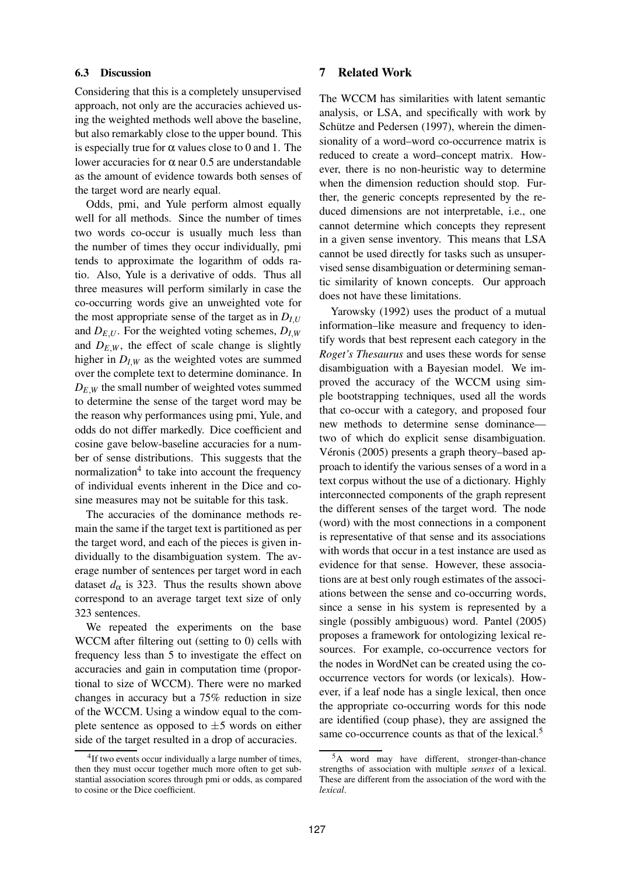## **6.3 Discussion**

Considering that this is a completely unsupervised approach, not only are the accuracies achieved using the weighted methods well above the baseline, but also remarkably close to the upper bound. This is especially true for  $\alpha$  values close to 0 and 1. The lower accuracies for α near 0.5 are understandable as the amount of evidence towards both senses of the target word are nearly equal.

Odds, pmi, and Yule perform almost equally well for all methods. Since the number of times two words co-occur is usually much less than the number of times they occur individually, pmi tends to approximate the logarithm of odds ratio. Also, Yule is a derivative of odds. Thus all three measures will perform similarly in case the co-occurring words give an unweighted vote for the most appropriate sense of the target as in  $D_{III}$ and  $D_{E,U}$ . For the weighted voting schemes,  $D_{I,W}$ and  $D_{E,W}$ , the effect of scale change is slightly higher in  $D_{I,W}$  as the weighted votes are summed over the complete text to determine dominance. In  $D_{E,W}$  the small number of weighted votes summed to determine the sense of the target word may be the reason why performances using pmi, Yule, and odds do not differ markedly. Dice coefficient and cosine gave below-baseline accuracies for a number of sense distributions. This suggests that the normalization $4$  to take into account the frequency of individual events inherent in the Dice and cosine measures may not be suitable for this task.

The accuracies of the dominance methods remain the same if the target text is partitioned as per the target word, and each of the pieces is given individually to the disambiguation system. The average number of sentences per target word in each dataset  $d_{\alpha}$  is 323. Thus the results shown above correspond to an average target text size of only 323 sentences.

We repeated the experiments on the base WCCM after filtering out (setting to 0) cells with frequency less than 5 to investigate the effect on accuracies and gain in computation time (proportional to size of WCCM). There were no marked changes in accuracy but a 75% reduction in size of the WCCM. Using a window equal to the complete sentence as opposed to  $\pm 5$  words on either side of the target resulted in a drop of accuracies.

## **7 Related Work**

The WCCM has similarities with latent semantic analysis, or LSA, and specifically with work by Schütze and Pedersen (1997), wherein the dimensionality of a word–word co-occurrence matrix is reduced to create a word–concept matrix. However, there is no non-heuristic way to determine when the dimension reduction should stop. Further, the generic concepts represented by the reduced dimensions are not interpretable, i.e., one cannot determine which concepts they represent in a given sense inventory. This means that LSA cannot be used directly for tasks such as unsupervised sense disambiguation or determining semantic similarity of known concepts. Our approach does not have these limitations.

Yarowsky (1992) uses the product of a mutual information–like measure and frequency to identify words that best represent each category in the *Roget's Thesaurus* and uses these words for sense disambiguation with a Bayesian model. We improved the accuracy of the WCCM using simple bootstrapping techniques, used all the words that co-occur with a category, and proposed four new methods to determine sense dominance two of which do explicit sense disambiguation. Véronis (2005) presents a graph theory–based approach to identify the various senses of a word in a text corpus without the use of a dictionary. Highly interconnected components of the graph represent the different senses of the target word. The node (word) with the most connections in a component is representative of that sense and its associations with words that occur in a test instance are used as evidence for that sense. However, these associations are at best only rough estimates of the associations between the sense and co-occurring words, since a sense in his system is represented by a single (possibly ambiguous) word. Pantel (2005) proposes a framework for ontologizing lexical resources. For example, co-occurrence vectors for the nodes in WordNet can be created using the cooccurrence vectors for words (or lexicals). However, if a leaf node has a single lexical, then once the appropriate co-occurring words for this node are identified (coup phase), they are assigned the same co-occurrence counts as that of the lexical.<sup>5</sup>

<sup>&</sup>lt;sup>4</sup>If two events occur individually a large number of times, then they must occur together much more often to get substantial association scores through pmi or odds, as compared to cosine or the Dice coefficient.

<sup>5</sup>A word may have different, stronger-than-chance strengths of association with multiple *senses* of a lexical. These are different from the association of the word with the *lexical*.